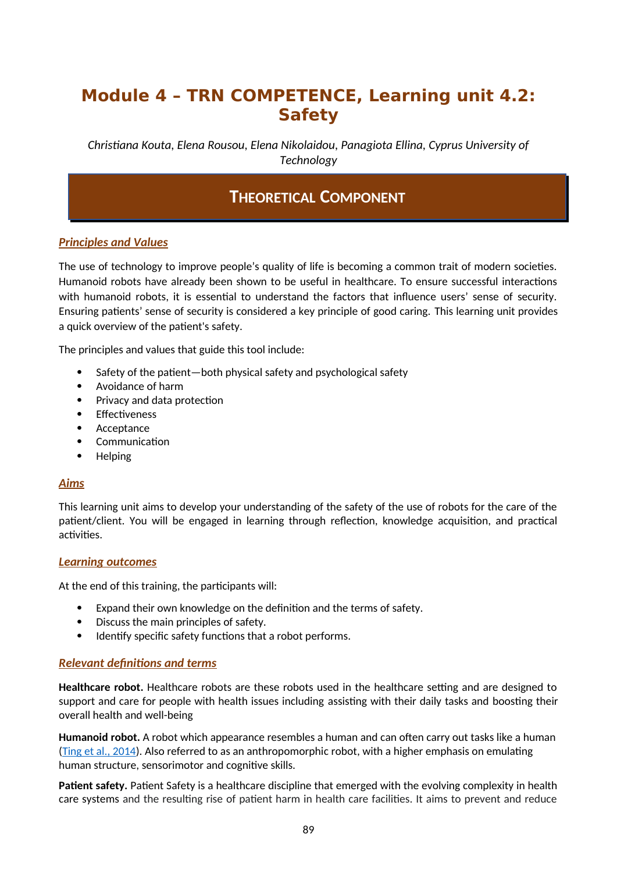# **Module 4 – TRN COMPETENCE, Learning unit 4.2: Safety**

*Christiana Kouta, Elena Rousou, Elena Nikolaidou, Panagiota Ellina, Cyprus University of Technology* 

## **THEORETICAL COMPONENT**

## *Principles and Values*

The use of technology to improve people's quality of life is becoming a common trait of modern societies. Humanoid robots have already been shown to be useful in healthcare. To ensure successful interactions with humanoid robots, it is essential to understand the factors that influence users' sense of security. Ensuring patients' sense of security is considered a key principle of good caring. This learning unit provides a quick overview of the patient's safety.

The principles and values that guide this tool include:

- Safety of the patient—both physical safety and psychological safety
- Avoidance of harm
- Privacy and data protection
- Effectiveness
- Acceptance
- Communication
- Helping

### *Aims*

This learning unit aims to develop your understanding of the safety of the use of robots for the care of the patient/client. You will be engaged in learning through reflection, knowledge acquisition, and practical activities.

### *Learning outcomes*

At the end of this training, the participants will:

- Expand their own knowledge on the definition and the terms of safety.
- Discuss the main principles of safety.
- Identify specific safety functions that a robot performs.

### *Relevant definitions and terms*

**Healthcare robot.** Healthcare robots are these robots used in the healthcare setting and are designed to support and care for people with health issues including assisting with their daily tasks and boosting their overall health and well-being

**Humanoid robot.** A robot which appearance resembles a human and can often carry out tasks like a human [\(Ting et al., 2014](https://www.researchgate.net/publication/286073866_Humanoid_Robot_A_Review_of_the_Architecture_Applications_and_Future_Trend)). Also referred to as an anthropomorphic robot, with a higher emphasis on emulating human structure, sensorimotor and cognitive skills.

**Patient safety.** Patient Safety is a healthcare discipline that emerged with the evolving complexity in health care systems and the resulting rise of patient harm in health care facilities. It aims to prevent and reduce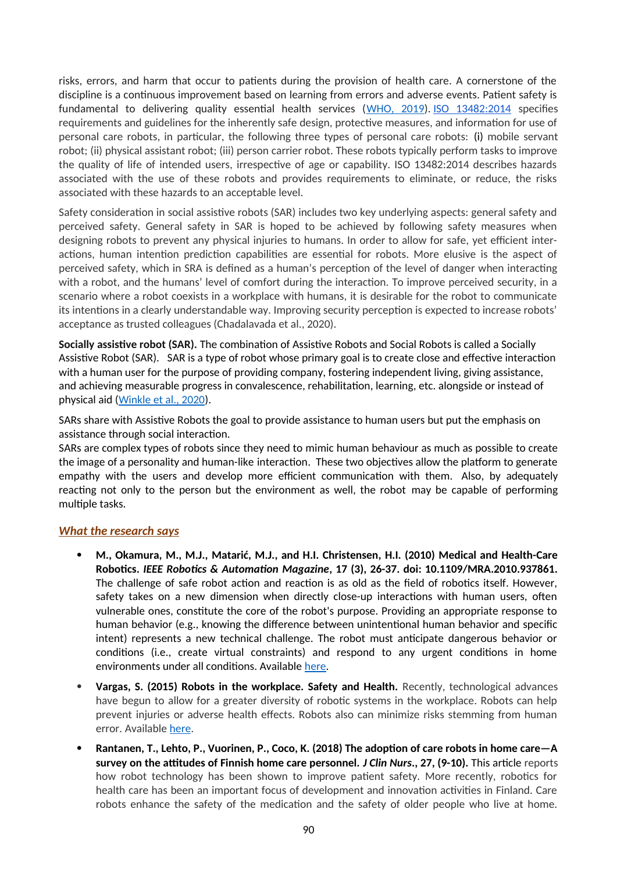risks, errors, and harm that occur to patients during the provision of health care. A cornerstone of the discipline is a continuous improvement based on learning from errors and adverse events. Patient safety is fundamental to delivering quality essential health services ([WHO, 2019\)](https://www.who.int/news-room/fact-sheets/detail/patient-safety). ISO 13482:2014 specifies requirements and guidelines for the inherently safe design, protective measures, and information for use of personal care robots, in particular, the following three types of personal care robots: (i) mobile servant robot; (ii) physical assistant robot; (iii) person carrier robot. These robots typically perform tasks to improve the quality of life of intended users, irrespective of age or capability. ISO 13482:2014 describes hazards associated with the use of these robots and provides requirements to eliminate, or reduce, the risks associated with these hazards to an acceptable level.

Safety consideration in social assistive robots (SAR) includes two key underlying aspects: general safety and perceived safety. General safety in SAR is hoped to be achieved by following safety measures when designing robots to prevent any physical injuries to humans. In order to allow for safe, yet efficient interactions, human intention prediction capabilities are essential for robots. More elusive is the aspect of perceived safety, which in SRA is defined as a human's perception of the level of danger when interacting with a robot, and the humans' level of comfort during the interaction. To improve perceived security, in a scenario where a robot coexists in a workplace with humans, it is desirable for the robot to communicate its intentions in a clearly understandable way. Improving security perception is expected to increase robots' acceptance as trusted colleagues (Chadalavada et al., 2020).

**Socially assistive robot (SAR).** The combination of Assistive Robots and Social Robots is called a Socially Assistive Robot (SAR). SAR is a type of robot whose primary goal is to create close and effective interaction with a human user for the purpose of providing company, fostering independent living, giving assistance, and achieving measurable progress in convalescence, rehabilitation, learning, etc. alongside or instead of physical aid [\(Winkle et al., 2020\)](https://www.researchgate.net/publication/331576322_Mutual_Shaping_in_the_Design_of_Socially_Assistive_Robots_A_Case_Study_on_Social_Robots_for_Therapy).

SARs share with Assistive Robots the goal to provide assistance to human users but put the emphasis on assistance through social interaction.

SARs are complex types of robots since they need to mimic human behaviour as much as possible to create the image of a personality and human-like interaction. These two objectives allow the platform to generate empathy with the users and develop more efficient communication with them. Also, by adequately reacting not only to the person but the environment as well, the robot may be capable of performing multiple tasks.

### *What the research says*

- **M., Okamura, M., M.J., Matarić, M.J., and H.I. Christensen, H.I. (2010) Medical and Health-Care Robotics.** *IEEE Robotics & Automation Magazine***, 17 (3), 26-37. doi: 10.1109/MRA.2010.937861.** The challenge of safe robot action and reaction is as old as the field of robotics itself. However, safety takes on a new dimension when directly close-up interactions with human users, often vulnerable ones, constitute the core of the robot's purpose. Providing an appropriate response to human behavior (e.g., knowing the difference between unintentional human behavior and specific intent) represents a new technical challenge. The robot must anticipate dangerous behavior or conditions (i.e., create virtual constraints) and respond to any urgent conditions in home environments under all conditions. Available [here.](https://www.researchgate.net/publication/224173784_Medical_and_Health-Care_Robotics)
- **Vargas, S. (2015) Robots in the workplace. Safety and Health.** Recently, technological advances have begun to allow for a greater diversity of robotic systems in the workplace. Robots can help prevent injuries or adverse health effects. Robots also can minimize risks stemming from human error. Available [here](https://www.safetyandhealthmagazine.com/articles/16789-robots-in-the-workplace).
- **Rantanen, T., Lehto, P., Vuorinen, P., Coco, K. (2018) The adoption of care robots in home care—A survey on the attitudes of Finnish home care personnel.** *J Clin Nurs***., 27, (9-10).** This article reports how robot technology has been shown to improve patient safety. More recently, robotics for health care has been an important focus of development and innovation activities in Finland. Care robots enhance the safety of the medication and the safety of older people who live at home.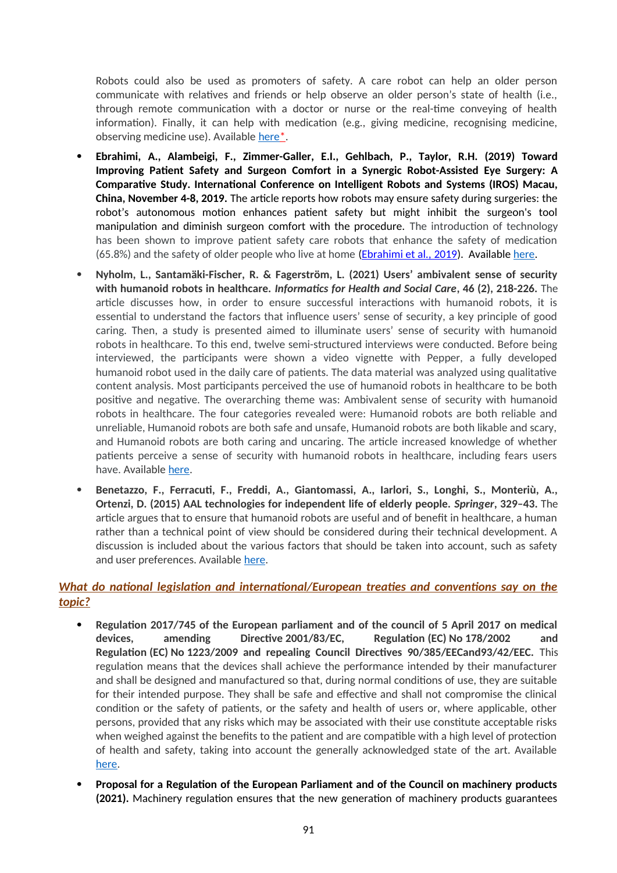Robots could also be used as promoters of safety. A care robot can help an older person communicate with relatives and friends or help observe an older person's state of health (i.e., through remote communication with a doctor or nurse or the real-time conveying of health information). Finally, it can help with medication (e.g., giving medicine, recognising medicine, observing medicine use). Available here<sup>\*</sup>.

- **Ebrahimi, A., Alambeigi, F., Zimmer-Galler, E.I., Gehlbach, P., Taylor, R.H. (2019) Toward Improving Patient Safety and Surgeon Comfort in a Synergic Robot-Assisted Eye Surgery: A Comparative Study. International Conference on Intelligent Robots and Systems (IROS) Macau, China, November 4-8, 2019.** The article reports how robots may ensure safety during surgeries: the robot's autonomous motion enhances patient safety but might inhibit the surgeon's tool manipulation and diminish surgeon comfort with the procedure. The introduction of technology has been shown to improve patient safety care robots that enhance the safety of medication (65.8%) and the safety of older people who live at home (*Ebrahimi et al., 2019*). Available [here](https://www.researchgate.net/publication/338946136_Toward_Improving_Patient_Safety_and_Surgeon_Comfort_in_a_Synergic_Robot-Assisted_Eye_Surgery_A_Comparative_Study?_iepl%5BgeneralViewId%5D=LfQjA16RZBjPo10zjgCng88hS75p8hR869Pa&_iepl%5Bcontexts%5D%5B0%5D=searchReact&_iepl%5BviewId%5D=MPWK7BoyEb6s8lAJic5v1BcRuir09vZdWwHd&_iepl%5BsearchType%5D=publication&_iepl%5Bdata%5D%5BcountLessEqual20%5D=1&_iepl%5Bdata%5D%5BinteractedWithPosition1%5D=1&_iepl%5Bdata%5D%5BwithoutEnrichment%5D=1&_iepl%5Bposition%5D=1&_iepl%5BrgKey%5D=PB%3A338946136&_iepl%5BtargetEntityId%5D=PB%3A338946136&_iepl%5BinteractionType%5D=publicationTitle).
- **Nyholm, L., Santamäki-Fischer, R. & Fagerström, L. (2021) Users' ambivalent sense of security with humanoid robots in healthcare.** *Informatics for Health and Social Care***, 46 (2), 218-226.** The article discusses how, in order to ensure successful interactions with humanoid robots, it is essential to understand the factors that influence users' sense of security, a key principle of good caring. Then, a study is presented aimed to illuminate users' sense of security with humanoid robots in healthcare. To this end, twelve semi-structured interviews were conducted. Before being interviewed, the participants were shown a video vignette with Pepper, a fully developed humanoid robot used in the daily care of patients. The data material was analyzed using qualitative content analysis. Most participants perceived the use of humanoid robots in healthcare to be both positive and negative. The overarching theme was: Ambivalent sense of security with humanoid robots in healthcare. The four categories revealed were: Humanoid robots are both reliable and unreliable, Humanoid robots are both safe and unsafe, Humanoid robots are both likable and scary, and Humanoid robots are both caring and uncaring. The article increased knowledge of whether patients perceive a sense of security with humanoid robots in healthcare, including fears users have. Available [here](https://www.researchgate.net/publication/349598320_Users).
- **Benetazzo, F., Ferracuti, F., Freddi, A., Giantomassi, A., Iarlori, S., Longhi, S., Monteriù, A., Ortenzi, D. (2015) AAL technologies for independent life of elderly people.** *Springer***, 329–43.** The article argues that to ensure that humanoid robots are useful and of benefit in healthcare, a human rather than a technical point of view should be considered during their technical development. A discussion is included about the various factors that should be taken into account, such as safety and user preferences. Available [here](https://www.researchgate.net/publication/277658057_AAL_Technologies_for_Independent_Life_of_Elderly_People).

## *What do national legislation and international/European treaties and conventions say on the topic?*

- **Regulation 2017/745 of the European parliament and of the council of 5 April 2017 on medical devices, amending Directive 2001/83/EC, Regulation (EC) No 178/2002 and Regulation (EC) No 1223/2009 and repealing Council Directives 90/385/EECand93/42/EEC.** This regulation means that the devices shall achieve the performance intended by their manufacturer and shall be designed and manufactured so that, during normal conditions of use, they are suitable for their intended purpose. They shall be safe and effective and shall not compromise the clinical condition or the safety of patients, or the safety and health of users or, where applicable, other persons, provided that any risks which may be associated with their use constitute acceptable risks when weighed against the benefits to the patient and are compatible with a high level of protection of health and safety, taking into account the generally acknowledged state of the art. Available [here](https://ec.europa.eu/health/md_sector/overview_en).
- **Proposal for a Regulation of the European Parliament and of the Council on machinery products (2021).** Machinery regulation ensures that the new generation of machinery products guarantees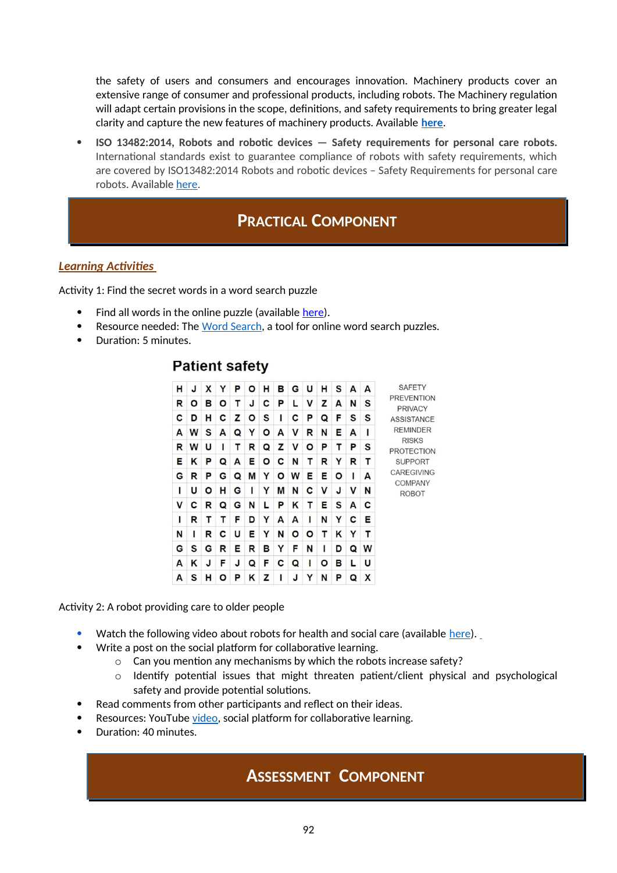the safety of users and consumers and encourages innovation. Machinery products cover an extensive range of consumer and professional products, including robots. The Machinery regulation will adapt certain provisions in the scope, definitions, and safety requirements to bring greater legal clarity and capture the new features of machinery products. Available **[here](https://ec.europa.eu/docsroom/documents/45508)**.

 **ISO 13482:2014, Robots and robotic devices — Safety requirements for personal care robots.** International standards exist to guarantee compliance of robots with safety requirements, which are covered by ISO13482:2014 Robots and robotic devices – Safety Requirements for personal care robots. Available [here.](https://www.iso.org/standard/53820.html)

## **PRACTICAL COMPONENT**

## *Learning Activities*

Activity 1: Find the secret words in a word search puzzle

- Find all words in the online puzzle (available here).
- Resource needed: The [Word Search,](https://thewordsearch.com/puzzle/3142511/patient-safety/) a tool for online word search puzzles.
- Duration: 5 minutes.

## **Patient safety**

| н | J | χ | Y | P | Ο | н | в | G | U | н | S | A | A | <b>SAFETY</b>                                                             |
|---|---|---|---|---|---|---|---|---|---|---|---|---|---|---------------------------------------------------------------------------|
| R | O | в | Ο | т | J | C | P | L | v | z | A | N | S | <b>PREVENTION</b><br><b>PRIVACY</b>                                       |
| C | D | н | С | z | O | S |   | C | P | Q | F | S | S | <b>ASSISTANCE</b><br><b>REMINDER</b><br><b>RISKS</b><br><b>PROTECTION</b> |
| A | W | S | A | Q | Y | ٥ | А | V | R | N | Е | A | ı |                                                                           |
| R | W | U | ı | т | R | Q | z | v | O | P | т | P | S |                                                                           |
| Е | Κ | P | Q | A | Е | O | c | N | т | R | Y | R | т | <b>SUPPORT</b>                                                            |
| G | R | P | G | Q | M | Y | O | W | Е | Е | O | ı | A | <b>CAREGIVING</b><br><b>COMPANY</b><br><b>ROBOT</b>                       |
| ı | U | O | н | G | ı | Υ | М | N | C | v | J | v | N |                                                                           |
| v | c | R | Q | G | N | L | P | Κ | т | Е | S | A | С |                                                                           |
| ı | R | т | т | F | D | Y | А | A | ı | N | Y | C | Е |                                                                           |
| N | ı | R | с | U | Е | Υ | N | Ο | Ο | т | Κ | Υ | т |                                                                           |
| G | S | G | R | Е | R | в | Y | F | N | ı | D | Q | W |                                                                           |
| A | Κ | J | F | J | Q | F | с | Q |   | O | в | L | U |                                                                           |
| A | S | н | О | P | Κ | z |   | J |   | N | Р | Q | x |                                                                           |

Activity 2: A robot providing care to older people

- Watch the following video about robots for health and social care (available [here](https://www.youtube.com/watch?v=P_0jzsNF8kA)).
- Write a post on the social platform for collaborative learning.
	- o Can you mention any mechanisms by which the robots increase safety?
	- o Identify potential issues that might threaten patient/client physical and psychological safety and provide potential solutions.
- Read comments from other participants and reflect on their ideas.
- Resources: YouTube [video](https://www.youtube.com/watch?v=P_0jzsNF8kA), social platform for collaborative learning.
- Duration: 40 minutes.

## **ASSESSMENT COMPONENT**